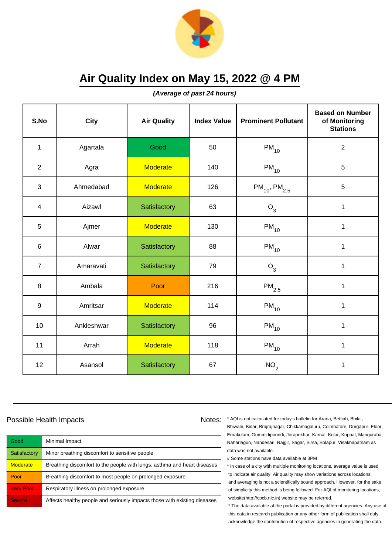

**(Average of past 24 hours)**

| S.No           | <b>City</b> | <b>Air Quality</b> | <b>Index Value</b> | <b>Prominent Pollutant</b>    | <b>Based on Number</b><br>of Monitoring<br><b>Stations</b> |
|----------------|-------------|--------------------|--------------------|-------------------------------|------------------------------------------------------------|
| $\mathbf{1}$   | Agartala    | Good               | 50                 | $PM_{10}$                     | $\sqrt{2}$                                                 |
| $\overline{2}$ | Agra        | <b>Moderate</b>    | 140                | $PM_{10}$                     | 5                                                          |
| $\mathbf{3}$   | Ahmedabad   | <b>Moderate</b>    | 126                | $PM_{10}$ , PM <sub>2.5</sub> | $\overline{5}$                                             |
| $\overline{4}$ | Aizawl      | Satisfactory       | 63                 | $O_3$                         | 1                                                          |
| 5              | Ajmer       | <b>Moderate</b>    | 130                | $PM_{10}$                     | 1                                                          |
| 6              | Alwar       | Satisfactory       | 88                 | $PM_{10}$                     | 1                                                          |
| $\overline{7}$ | Amaravati   | Satisfactory       | 79                 | $O_3$                         | 1                                                          |
| 8              | Ambala      | Poor               | 216                | $PM_{2.5}$                    | 1                                                          |
| $9\,$          | Amritsar    | <b>Moderate</b>    | 114                | $PM_{10}$                     | $\mathbf{1}$                                               |
| 10             | Ankleshwar  | Satisfactory       | 96                 | $PM_{10}$                     | 1                                                          |
| 11             | Arrah       | <b>Moderate</b>    | 118                | $PM_{10}$                     | 1                                                          |
| 12             | Asansol     | Satisfactory       | 67                 | NO <sub>2</sub>               | 1                                                          |

#### Possible Health Impacts

| Good             | Minimal Impact                                                            |
|------------------|---------------------------------------------------------------------------|
| Satisfactory     | Minor breathing discomfort to sensitive people                            |
| <b>Moderate</b>  | Breathing discomfort to the people with lungs, asthma and heart diseases  |
| Poor             | Breathing discomfort to most people on prolonged exposure                 |
| <b>Very Poor</b> | Respiratory illness on prolonged exposure                                 |
| <b>Severe</b>    | Affects healthy people and seriously impacts those with existing diseases |

Notes: \* AQI is not calculated for today's bulletin for Araria, Bettiah, Bhilai, Bhiwani, Bidar, Brajrajnagar, Chikkamagaluru, Coimbatore, Durgapur, Eloor, Ernakulam, Gummidipoondi, Jorapokhar, Karnal, Kolar, Koppal, Manguraha, Naharlagun, Nandesari, Rajgir, Sagar, Sirsa, Solapur, Visakhapatnam as data was not available.

# Some stations have data available at 3PM

\* In case of a city with multiple monitoring locations, average value is used to indicate air quality. Air quality may show variations across locations, and averaging is not a scientifically sound approach. However, for the sake of simplicity this method is being followed. For AQI of monitoring locations, website(http://cpcb.nic.in) website may be referred.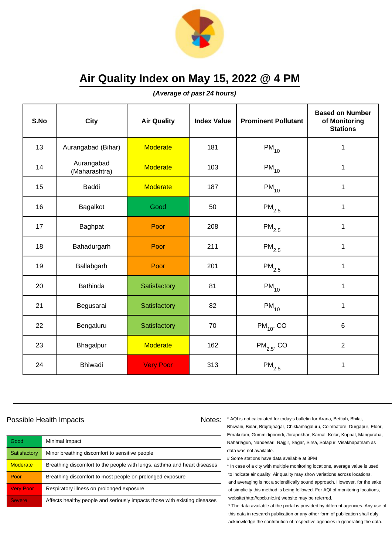

**(Average of past 24 hours)**

| S.No | <b>City</b>                 | <b>Air Quality</b> | <b>Index Value</b> | <b>Prominent Pollutant</b> | <b>Based on Number</b><br>of Monitoring<br><b>Stations</b> |
|------|-----------------------------|--------------------|--------------------|----------------------------|------------------------------------------------------------|
| 13   | Aurangabad (Bihar)          | <b>Moderate</b>    | 181                | $PM_{10}$                  | 1                                                          |
| 14   | Aurangabad<br>(Maharashtra) | <b>Moderate</b>    | 103                | $PM_{10}$                  | 1                                                          |
| 15   | Baddi                       | <b>Moderate</b>    | 187                | $PM_{10}$                  | 1                                                          |
| 16   | Bagalkot                    | Good               | 50                 | $\mathsf{PM}_{2.5}$        | 1                                                          |
| 17   | Baghpat                     | Poor               | 208                | $\mathsf{PM}_{2.5}$        | 1                                                          |
| 18   | Bahadurgarh                 | Poor               | 211                | $PM_{2.5}$                 | 1                                                          |
| 19   | Ballabgarh                  | Poor               | 201                | $PM_{2.5}$                 | 1                                                          |
| 20   | <b>Bathinda</b>             | Satisfactory       | 81                 | $PM_{10}$                  | 1                                                          |
| 21   | Begusarai                   | Satisfactory       | 82                 | $PM_{10}$                  | 1                                                          |
| 22   | Bengaluru                   | Satisfactory       | 70                 | $PM_{10}$ , CO             | $\,6$                                                      |
| 23   | Bhagalpur                   | <b>Moderate</b>    | 162                | $PM2.5$ , CO               | $\overline{2}$                                             |
| 24   | <b>Bhiwadi</b>              | <b>Very Poor</b>   | 313                | $\mathsf{PM}_{2.5}$        | 1                                                          |

#### Possible Health Impacts Notes: Notes:

| Good             | Minimal Impact                                                            |
|------------------|---------------------------------------------------------------------------|
| Satisfactory     | Minor breathing discomfort to sensitive people                            |
| <b>Moderate</b>  | Breathing discomfort to the people with lungs, asthma and heart diseases  |
| Poor             | Breathing discomfort to most people on prolonged exposure                 |
| <b>Very Poor</b> | Respiratory illness on prolonged exposure                                 |
| <b>Severe</b>    | Affects healthy people and seriously impacts those with existing diseases |

\* AQI is not calculated for today's bulletin for Araria, Bettiah, Bhilai, Bhiwani, Bidar, Brajrajnagar, Chikkamagaluru, Coimbatore, Durgapur, Eloor, Ernakulam, Gummidipoondi, Jorapokhar, Karnal, Kolar, Koppal, Manguraha, Naharlagun, Nandesari, Rajgir, Sagar, Sirsa, Solapur, Visakhapatnam as data was not available.

# Some stations have data available at 3PM

\* In case of a city with multiple monitoring locations, average value is used to indicate air quality. Air quality may show variations across locations, and averaging is not a scientifically sound approach. However, for the sake of simplicity this method is being followed. For AQI of monitoring locations, website(http://cpcb.nic.in) website may be referred.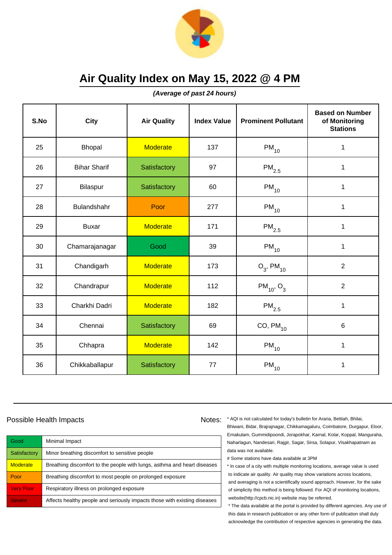

**(Average of past 24 hours)**

| S.No | <b>City</b>         | <b>Air Quality</b> | <b>Index Value</b> | <b>Prominent Pollutant</b> | <b>Based on Number</b><br>of Monitoring<br><b>Stations</b> |
|------|---------------------|--------------------|--------------------|----------------------------|------------------------------------------------------------|
| 25   | Bhopal              | <b>Moderate</b>    | 137                | $PM_{10}$                  | 1                                                          |
| 26   | <b>Bihar Sharif</b> | Satisfactory       | 97                 | $\mathsf{PM}_{2.5}$        | 1                                                          |
| 27   | Bilaspur            | Satisfactory       | 60                 | $PM_{10}$                  | 1                                                          |
| 28   | Bulandshahr         | Poor               | 277                | $PM_{10}$                  | 1                                                          |
| 29   | <b>Buxar</b>        | <b>Moderate</b>    | 171                | $\mathsf{PM}_{2.5}$        | $\mathbf 1$                                                |
| 30   | Chamarajanagar      | Good               | 39                 | $PM_{10}$                  | 1                                                          |
| 31   | Chandigarh          | <b>Moderate</b>    | 173                | $O_3$ , PM <sub>10</sub>   | $\overline{2}$                                             |
| 32   | Chandrapur          | <b>Moderate</b>    | 112                | $PM_{10}$ , O <sub>3</sub> | $\overline{2}$                                             |
| 33   | Charkhi Dadri       | <b>Moderate</b>    | 182                | $\mathsf{PM}_{2.5}$        | $\mathbf 1$                                                |
| 34   | Chennai             | Satisfactory       | 69                 | $CO, PM_{10}$              | 6                                                          |
| 35   | Chhapra             | <b>Moderate</b>    | 142                | $PM_{10}$                  | 1                                                          |
| 36   | Chikkaballapur      | Satisfactory       | 77                 | $\mathsf{PM}_{10}$         | $\mathbf 1$                                                |

#### Possible Health Impacts Notes: Notes:

Good Minimal Impact Satisfactory | Minor breathing discomfort to sensitive people Moderate | Breathing discomfort to the people with lungs, asthma and heart diseases Poor Breathing discomfort to most people on prolonged exposure Very Poor Respiratory illness on prolonged exposure Severe **Affects healthy people and seriously impacts those with existing diseases** 

\* AQI is not calculated for today's bulletin for Araria, Bettiah, Bhilai, Bhiwani, Bidar, Brajrajnagar, Chikkamagaluru, Coimbatore, Durgapur, Eloor, Ernakulam, Gummidipoondi, Jorapokhar, Karnal, Kolar, Koppal, Manguraha, Naharlagun, Nandesari, Rajgir, Sagar, Sirsa, Solapur, Visakhapatnam as data was not available.

# Some stations have data available at 3PM

\* In case of a city with multiple monitoring locations, average value is used to indicate air quality. Air quality may show variations across locations, and averaging is not a scientifically sound approach. However, for the sake of simplicity this method is being followed. For AQI of monitoring locations, website(http://cpcb.nic.in) website may be referred.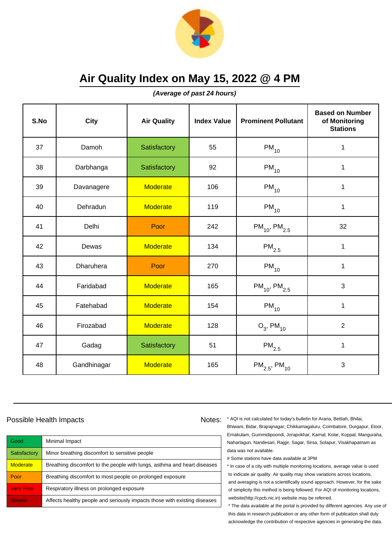

**(Average of past 24 hours)**

| S.No | City        | <b>Air Quality</b> | <b>Index Value</b> | <b>Prominent Pollutant</b>    | <b>Based on Number</b><br>of Monitoring<br><b>Stations</b> |
|------|-------------|--------------------|--------------------|-------------------------------|------------------------------------------------------------|
| 37   | Damoh       | Satisfactory       | 55                 | $PM_{10}$                     | 1                                                          |
| 38   | Darbhanga   | Satisfactory       | 92                 | $PM_{10}$                     | 1                                                          |
| 39   | Davanagere  | <b>Moderate</b>    | 106                | $PM_{10}$                     | $\mathbf 1$                                                |
| 40   | Dehradun    | <b>Moderate</b>    | 119                | $PM_{10}$                     | $\mathbf 1$                                                |
| 41   | Delhi       | Poor               | 242                | $PM_{10}$ , PM <sub>2.5</sub> | 32                                                         |
| 42   | Dewas       | <b>Moderate</b>    | 134                | $\mathsf{PM}_{2.5}$           | 1                                                          |
| 43   | Dharuhera   | Poor               | 270                | $PM_{10}$                     | $\mathbf{1}$                                               |
| 44   | Faridabad   | <b>Moderate</b>    | 165                | $PM_{10}$ , PM <sub>2.5</sub> | 3                                                          |
| 45   | Fatehabad   | <b>Moderate</b>    | 154                | $PM_{10}$                     | $\mathbf 1$                                                |
| 46   | Firozabad   | <b>Moderate</b>    | 128                | $O_3$ , PM <sub>10</sub>      | $\overline{2}$                                             |
| 47   | Gadag       | Satisfactory       | 51                 | $\mathsf{PM}_{2.5}$           | 1                                                          |
| 48   | Gandhinagar | <b>Moderate</b>    | 165                | $PM_{2.5}$ , PM <sub>10</sub> | 3                                                          |

### Possible Health Impacts

| Good             | Minimal Impact                                                            |
|------------------|---------------------------------------------------------------------------|
| Satisfactory     | Minor breathing discomfort to sensitive people                            |
| <b>Moderate</b>  | Breathing discomfort to the people with lungs, asthma and heart diseases  |
| Poor             | Breathing discomfort to most people on prolonged exposure                 |
| <b>Very Poor</b> | Respiratory illness on prolonged exposure                                 |
| <b>Severe</b>    | Affects healthy people and seriously impacts those with existing diseases |

Notes: \* AQI is not calculated for today's bulletin for Araria, Bettiah, Bhilai, Bhiwani, Bidar, Brajrajnagar, Chikkamagaluru, Coimbatore, Durgapur, Eloor, Ernakulam, Gummidipoondi, Jorapokhar, Karnal, Kolar, Koppal, Manguraha, Naharlagun, Nandesari, Rajgir, Sagar, Sirsa, Solapur, Visakhapatnam as data was not available.

# Some stations have data available at 3PM

\* In case of a city with multiple monitoring locations, average value is used to indicate air quality. Air quality may show variations across locations, and averaging is not a scientifically sound approach. However, for the sake of simplicity this method is being followed. For AQI of monitoring locations, website(http://cpcb.nic.in) website may be referred.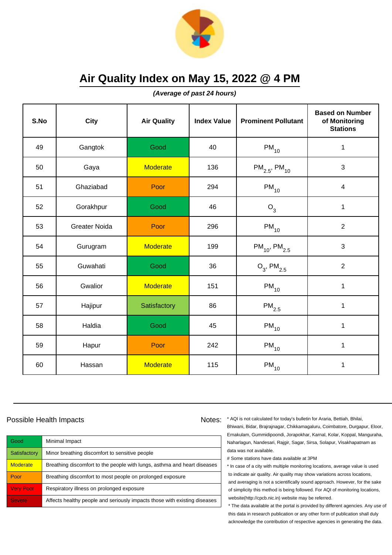

**(Average of past 24 hours)**

| S.No | <b>City</b>          | <b>Air Quality</b> | <b>Index Value</b> | <b>Prominent Pollutant</b>    | <b>Based on Number</b><br>of Monitoring<br><b>Stations</b> |
|------|----------------------|--------------------|--------------------|-------------------------------|------------------------------------------------------------|
| 49   | Gangtok              | Good               | 40                 | $PM_{10}$                     | 1                                                          |
| 50   | Gaya                 | <b>Moderate</b>    | 136                | $PM_{2.5}$ , PM <sub>10</sub> | 3                                                          |
| 51   | Ghaziabad            | Poor               | 294                | $PM_{10}$                     | $\overline{\mathbf{4}}$                                    |
| 52   | Gorakhpur            | Good               | 46                 | $O_3$                         | $\mathbf 1$                                                |
| 53   | <b>Greater Noida</b> | Poor               | 296                | $PM_{10}$                     | $\overline{2}$                                             |
| 54   | Gurugram             | <b>Moderate</b>    | 199                | $PM_{10}$ , PM <sub>2.5</sub> | 3                                                          |
| 55   | Guwahati             | Good               | 36                 | $O_3$ , PM <sub>2.5</sub>     | $\overline{2}$                                             |
| 56   | Gwalior              | <b>Moderate</b>    | 151                | $PM_{10}$                     | 1                                                          |
| 57   | Hajipur              | Satisfactory       | 86                 | $\mathsf{PM}_{2.5}$           | $\mathbf 1$                                                |
| 58   | Haldia               | Good               | 45                 | $\mathsf{PM}_{10}$            | 1                                                          |
| 59   | Hapur                | Poor               | 242                | $PM_{10}$                     | 1                                                          |
| 60   | Hassan               | <b>Moderate</b>    | 115                | $PM_{10}$                     | 1                                                          |

### Possible Health Impacts

| Good             | Minimal Impact                                                            |
|------------------|---------------------------------------------------------------------------|
| Satisfactory     | Minor breathing discomfort to sensitive people                            |
| <b>Moderate</b>  | Breathing discomfort to the people with lungs, asthma and heart diseases  |
| Poor             | Breathing discomfort to most people on prolonged exposure                 |
| <b>Very Poor</b> | Respiratory illness on prolonged exposure                                 |
| <b>Severe</b>    | Affects healthy people and seriously impacts those with existing diseases |

Notes: \* AQI is not calculated for today's bulletin for Araria, Bettiah, Bhilai, Bhiwani, Bidar, Brajrajnagar, Chikkamagaluru, Coimbatore, Durgapur, Eloor, Ernakulam, Gummidipoondi, Jorapokhar, Karnal, Kolar, Koppal, Manguraha, Naharlagun, Nandesari, Rajgir, Sagar, Sirsa, Solapur, Visakhapatnam as data was not available.

# Some stations have data available at 3PM

\* In case of a city with multiple monitoring locations, average value is used to indicate air quality. Air quality may show variations across locations, and averaging is not a scientifically sound approach. However, for the sake of simplicity this method is being followed. For AQI of monitoring locations, website(http://cpcb.nic.in) website may be referred.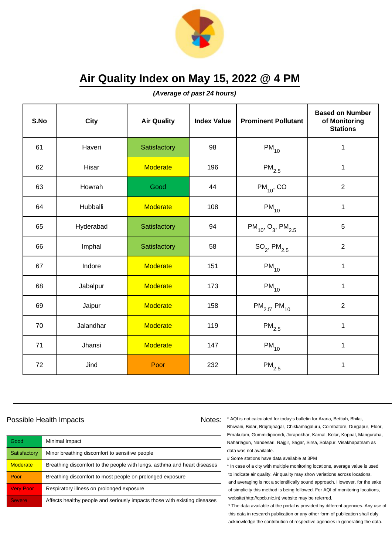

**(Average of past 24 hours)**

| S.No | <b>City</b> | <b>Air Quality</b> | <b>Index Value</b> | <b>Prominent Pollutant</b>                     | <b>Based on Number</b><br>of Monitoring<br><b>Stations</b> |
|------|-------------|--------------------|--------------------|------------------------------------------------|------------------------------------------------------------|
| 61   | Haveri      | Satisfactory       | 98                 | $PM_{10}$                                      | $\mathbf 1$                                                |
| 62   | Hisar       | <b>Moderate</b>    | 196                | $PM_{2.5}$                                     | 1                                                          |
| 63   | Howrah      | Good               | 44                 | $PM_{10}$ , CO                                 | $\overline{2}$                                             |
| 64   | Hubballi    | <b>Moderate</b>    | 108                | $PM_{10}$                                      | $\mathbf 1$                                                |
| 65   | Hyderabad   | Satisfactory       | 94                 | $PM_{10}$ , O <sub>3</sub> , PM <sub>2.5</sub> | 5                                                          |
| 66   | Imphal      | Satisfactory       | 58                 | $SO_2$ , PM $_{2.5}$                           | $\overline{2}$                                             |
| 67   | Indore      | <b>Moderate</b>    | 151                | $\mathsf{PM}_{\mathsf{10}}$                    | $\mathbf{1}$                                               |
| 68   | Jabalpur    | <b>Moderate</b>    | 173                | $PM_{10}$                                      | $\mathbf 1$                                                |
| 69   | Jaipur      | <b>Moderate</b>    | 158                | $PM_{2.5}$ , PM <sub>10</sub>                  | $\overline{2}$                                             |
| 70   | Jalandhar   | <b>Moderate</b>    | 119                | $\mathsf{PM}_{2.5}$                            | $\mathbf 1$                                                |
| 71   | Jhansi      | <b>Moderate</b>    | 147                | $PM_{10}$                                      | 1                                                          |
| 72   | Jind        | Poor               | 232                | $\mathsf{PM}_{2.5}$                            | $\mathbf 1$                                                |

### Possible Health Impacts

| Good             | Minimal Impact                                                            |
|------------------|---------------------------------------------------------------------------|
| Satisfactory     | Minor breathing discomfort to sensitive people                            |
| <b>Moderate</b>  | Breathing discomfort to the people with lungs, asthma and heart diseases  |
| Poor             | Breathing discomfort to most people on prolonged exposure                 |
| <b>Very Poor</b> | Respiratory illness on prolonged exposure                                 |
| <b>Severe</b>    | Affects healthy people and seriously impacts those with existing diseases |

Notes: \* AQI is not calculated for today's bulletin for Araria, Bettiah, Bhilai, Bhiwani, Bidar, Brajrajnagar, Chikkamagaluru, Coimbatore, Durgapur, Eloor, Ernakulam, Gummidipoondi, Jorapokhar, Karnal, Kolar, Koppal, Manguraha, Naharlagun, Nandesari, Rajgir, Sagar, Sirsa, Solapur, Visakhapatnam as data was not available.

# Some stations have data available at 3PM

\* In case of a city with multiple monitoring locations, average value is used to indicate air quality. Air quality may show variations across locations, and averaging is not a scientifically sound approach. However, for the sake of simplicity this method is being followed. For AQI of monitoring locations, website(http://cpcb.nic.in) website may be referred.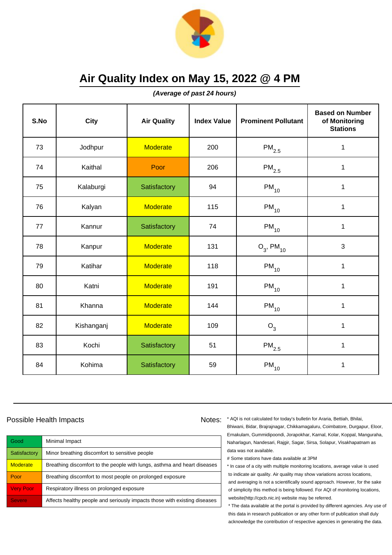

**(Average of past 24 hours)**

| S.No | <b>City</b> | <b>Air Quality</b> | <b>Index Value</b> | <b>Prominent Pollutant</b> | <b>Based on Number</b><br>of Monitoring<br><b>Stations</b> |
|------|-------------|--------------------|--------------------|----------------------------|------------------------------------------------------------|
| 73   | Jodhpur     | <b>Moderate</b>    | 200                | $\mathsf{PM}_{2.5}$        | 1                                                          |
| 74   | Kaithal     | Poor               | 206                | $\mathsf{PM}_{2.5}$        | $\mathbf{1}$                                               |
| 75   | Kalaburgi   | Satisfactory       | 94                 | $PM_{10}$                  | 1                                                          |
| 76   | Kalyan      | <b>Moderate</b>    | 115                | $PM_{10}$                  | 1                                                          |
| 77   | Kannur      | Satisfactory       | 74                 | $PM_{10}$                  | 1                                                          |
| 78   | Kanpur      | <b>Moderate</b>    | 131                | $O_3$ , PM <sub>10</sub>   | 3                                                          |
| 79   | Katihar     | <b>Moderate</b>    | 118                | $PM_{10}$                  | 1                                                          |
| 80   | Katni       | <b>Moderate</b>    | 191                | $PM_{10}$                  | 1                                                          |
| 81   | Khanna      | <b>Moderate</b>    | 144                | $PM_{10}$                  | $\mathbf 1$                                                |
| 82   | Kishanganj  | <b>Moderate</b>    | 109                | $O_3$                      | $\mathbf{1}$                                               |
| 83   | Kochi       | Satisfactory       | 51                 | $\mathsf{PM}_{2.5}$        | 1                                                          |
| 84   | Kohima      | Satisfactory       | 59                 | $PM_{10}$                  | 1                                                          |

#### Possible Health Impacts

| Good             | Minimal Impact                                                            |
|------------------|---------------------------------------------------------------------------|
| Satisfactory     | Minor breathing discomfort to sensitive people                            |
| <b>Moderate</b>  | Breathing discomfort to the people with lungs, asthma and heart diseases  |
| Poor             | Breathing discomfort to most people on prolonged exposure                 |
| <b>Very Poor</b> | Respiratory illness on prolonged exposure                                 |
| <b>Severe</b>    | Affects healthy people and seriously impacts those with existing diseases |

Notes: \* AQI is not calculated for today's bulletin for Araria, Bettiah, Bhilai, Bhiwani, Bidar, Brajrajnagar, Chikkamagaluru, Coimbatore, Durgapur, Eloor, Ernakulam, Gummidipoondi, Jorapokhar, Karnal, Kolar, Koppal, Manguraha, Naharlagun, Nandesari, Rajgir, Sagar, Sirsa, Solapur, Visakhapatnam as data was not available.

# Some stations have data available at 3PM

\* In case of a city with multiple monitoring locations, average value is used to indicate air quality. Air quality may show variations across locations, and averaging is not a scientifically sound approach. However, for the sake of simplicity this method is being followed. For AQI of monitoring locations, website(http://cpcb.nic.in) website may be referred.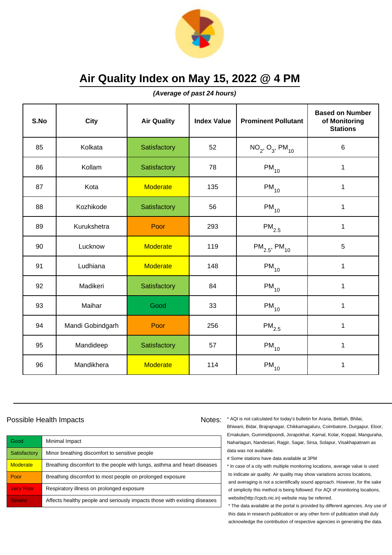

**(Average of past 24 hours)**

| S.No | City             | <b>Air Quality</b> | <b>Index Value</b> | <b>Prominent Pollutant</b>    | <b>Based on Number</b><br>of Monitoring<br><b>Stations</b> |
|------|------------------|--------------------|--------------------|-------------------------------|------------------------------------------------------------|
| 85   | Kolkata          | Satisfactory       | 52                 | $NO_2$ , $O_3$ , $PM_{10}$    | 6                                                          |
| 86   | Kollam           | Satisfactory       | 78                 | $PM_{10}$                     | 1                                                          |
| 87   | Kota             | <b>Moderate</b>    | 135                | $PM_{10}$                     | 1                                                          |
| 88   | Kozhikode        | Satisfactory       | 56                 | $PM_{10}$                     | 1                                                          |
| 89   | Kurukshetra      | Poor               | 293                | $PM_{2.5}$                    | $\mathbf 1$                                                |
| 90   | Lucknow          | <b>Moderate</b>    | 119                | $PM_{2.5}$ , PM <sub>10</sub> | 5                                                          |
| 91   | Ludhiana         | <b>Moderate</b>    | 148                | $PM_{10}$                     | 1                                                          |
| 92   | Madikeri         | Satisfactory       | 84                 | $PM_{10}$                     | 1                                                          |
| 93   | Maihar           | Good               | 33                 | $PM_{10}$                     | $\mathbf 1$                                                |
| 94   | Mandi Gobindgarh | Poor               | 256                | $PM_{2.5}$                    | 1                                                          |
| 95   | Mandideep        | Satisfactory       | 57                 | $PM_{10}$                     | 1                                                          |
| 96   | Mandikhera       | <b>Moderate</b>    | 114                | $\mathsf{PM}_{10}$            | 1                                                          |

#### Possible Health Impacts

| Good             | Minimal Impact                                                            |
|------------------|---------------------------------------------------------------------------|
| Satisfactory     | Minor breathing discomfort to sensitive people                            |
| <b>Moderate</b>  | Breathing discomfort to the people with lungs, asthma and heart diseases  |
| Poor             | Breathing discomfort to most people on prolonged exposure                 |
| <b>Very Poor</b> | Respiratory illness on prolonged exposure                                 |
| <b>Severe</b>    | Affects healthy people and seriously impacts those with existing diseases |

Notes: \* AQI is not calculated for today's bulletin for Araria, Bettiah, Bhilai, Bhiwani, Bidar, Brajrajnagar, Chikkamagaluru, Coimbatore, Durgapur, Eloor, Ernakulam, Gummidipoondi, Jorapokhar, Karnal, Kolar, Koppal, Manguraha, Naharlagun, Nandesari, Rajgir, Sagar, Sirsa, Solapur, Visakhapatnam as data was not available.

# Some stations have data available at 3PM

\* In case of a city with multiple monitoring locations, average value is used to indicate air quality. Air quality may show variations across locations, and averaging is not a scientifically sound approach. However, for the sake of simplicity this method is being followed. For AQI of monitoring locations, website(http://cpcb.nic.in) website may be referred.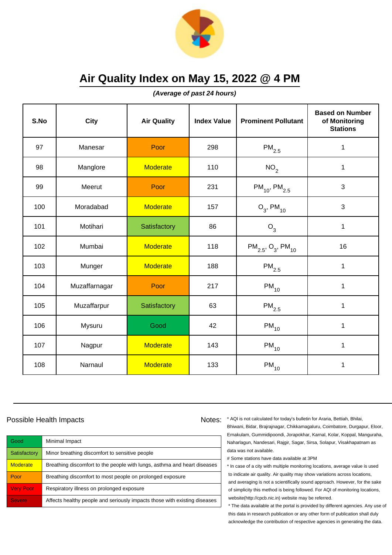

**(Average of past 24 hours)**

| S.No | City          | <b>Air Quality</b> | <b>Index Value</b> | <b>Prominent Pollutant</b>                     | <b>Based on Number</b><br>of Monitoring<br><b>Stations</b> |
|------|---------------|--------------------|--------------------|------------------------------------------------|------------------------------------------------------------|
| 97   | Manesar       | Poor               | 298                | $\mathsf{PM}_{2.5}$                            | 1                                                          |
| 98   | Manglore      | <b>Moderate</b>    | 110                | NO <sub>2</sub>                                | $\mathbf 1$                                                |
| 99   | Meerut        | Poor               | 231                | $PM_{10}$ , PM <sub>2.5</sub>                  | 3                                                          |
| 100  | Moradabad     | <b>Moderate</b>    | 157                | $O_3$ , PM <sub>10</sub>                       | 3                                                          |
| 101  | Motihari      | Satisfactory       | 86                 | $O_3$                                          | $\mathbf 1$                                                |
| 102  | Mumbai        | <b>Moderate</b>    | 118                | $PM_{2.5}$ , O <sub>3</sub> , PM <sub>10</sub> | 16                                                         |
| 103  | Munger        | <b>Moderate</b>    | 188                | $\mathsf{PM}_{2.5}$                            | $\mathbf{1}$                                               |
| 104  | Muzaffarnagar | Poor               | 217                | $PM_{10}$                                      | 1                                                          |
| 105  | Muzaffarpur   | Satisfactory       | 63                 | $\mathsf{PM}_{2.5}$                            | $\mathbf 1$                                                |
| 106  | Mysuru        | Good               | 42                 | $PM_{10}$                                      | 1                                                          |
| 107  | Nagpur        | <b>Moderate</b>    | 143                | $PM_{10}$                                      | 1                                                          |
| 108  | Narnaul       | <b>Moderate</b>    | 133                | $\mathsf{PM}_{10}$                             | 1                                                          |

### Possible Health Impacts

| Good             | Minimal Impact                                                            |
|------------------|---------------------------------------------------------------------------|
| Satisfactory     | Minor breathing discomfort to sensitive people                            |
| <b>Moderate</b>  | Breathing discomfort to the people with lungs, asthma and heart diseases  |
| Poor             | Breathing discomfort to most people on prolonged exposure                 |
| <b>Very Poor</b> | Respiratory illness on prolonged exposure                                 |
| <b>Severe</b>    | Affects healthy people and seriously impacts those with existing diseases |

Notes: \* AQI is not calculated for today's bulletin for Araria, Bettiah, Bhilai, Bhiwani, Bidar, Brajrajnagar, Chikkamagaluru, Coimbatore, Durgapur, Eloor, Ernakulam, Gummidipoondi, Jorapokhar, Karnal, Kolar, Koppal, Manguraha, Naharlagun, Nandesari, Rajgir, Sagar, Sirsa, Solapur, Visakhapatnam as data was not available.

# Some stations have data available at 3PM

\* In case of a city with multiple monitoring locations, average value is used to indicate air quality. Air quality may show variations across locations, and averaging is not a scientifically sound approach. However, for the sake of simplicity this method is being followed. For AQI of monitoring locations, website(http://cpcb.nic.in) website may be referred.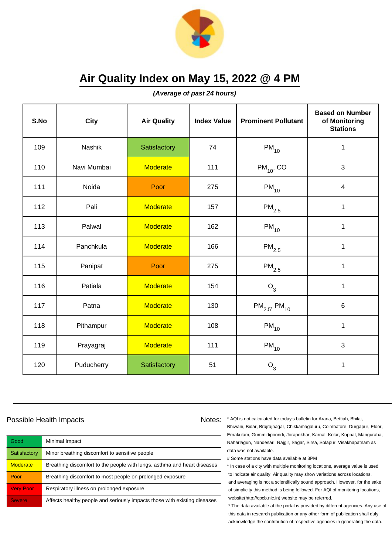

**(Average of past 24 hours)**

| S.No | City        | <b>Air Quality</b> | <b>Index Value</b> | <b>Prominent Pollutant</b>    | <b>Based on Number</b><br>of Monitoring<br><b>Stations</b> |
|------|-------------|--------------------|--------------------|-------------------------------|------------------------------------------------------------|
| 109  | Nashik      | Satisfactory       | 74                 | $PM_{10}$                     | $\mathbf 1$                                                |
| 110  | Navi Mumbai | <b>Moderate</b>    | 111                | $PM_{10}$ , CO                | 3                                                          |
| 111  | Noida       | Poor               | 275                | $PM_{10}$                     | $\overline{\mathbf{4}}$                                    |
| 112  | Pali        | <b>Moderate</b>    | 157                | $PM_{2.5}$                    | 1                                                          |
| 113  | Palwal      | <b>Moderate</b>    | 162                | $PM_{10}$                     | $\mathbf 1$                                                |
| 114  | Panchkula   | <b>Moderate</b>    | 166                | $\mathsf{PM}_{2.5}$           | $\mathbf 1$                                                |
| 115  | Panipat     | Poor               | 275                | $\mathsf{PM}_{2.5}$           | $\mathbf{1}$                                               |
| 116  | Patiala     | <b>Moderate</b>    | 154                | $O_3$                         | 1                                                          |
| 117  | Patna       | <b>Moderate</b>    | 130                | $PM_{2.5}$ , PM <sub>10</sub> | 6                                                          |
| 118  | Pithampur   | <b>Moderate</b>    | 108                | $PM_{10}$                     | $\mathbf 1$                                                |
| 119  | Prayagraj   | <b>Moderate</b>    | 111                | $PM_{10}$                     | 3                                                          |
| 120  | Puducherry  | Satisfactory       | 51                 | $O_3$                         | $\mathbf 1$                                                |

### Possible Health Impacts

| Good             | Minimal Impact                                                            |
|------------------|---------------------------------------------------------------------------|
| Satisfactory     | Minor breathing discomfort to sensitive people                            |
| <b>Moderate</b>  | Breathing discomfort to the people with lungs, asthma and heart diseases  |
| Poor             | Breathing discomfort to most people on prolonged exposure                 |
| <b>Very Poor</b> | Respiratory illness on prolonged exposure                                 |
| <b>Severe</b>    | Affects healthy people and seriously impacts those with existing diseases |

Notes: \* AQI is not calculated for today's bulletin for Araria, Bettiah, Bhilai, Bhiwani, Bidar, Brajrajnagar, Chikkamagaluru, Coimbatore, Durgapur, Eloor, Ernakulam, Gummidipoondi, Jorapokhar, Karnal, Kolar, Koppal, Manguraha, Naharlagun, Nandesari, Rajgir, Sagar, Sirsa, Solapur, Visakhapatnam as data was not available.

# Some stations have data available at 3PM

\* In case of a city with multiple monitoring locations, average value is used to indicate air quality. Air quality may show variations across locations, and averaging is not a scientifically sound approach. However, for the sake of simplicity this method is being followed. For AQI of monitoring locations, website(http://cpcb.nic.in) website may be referred.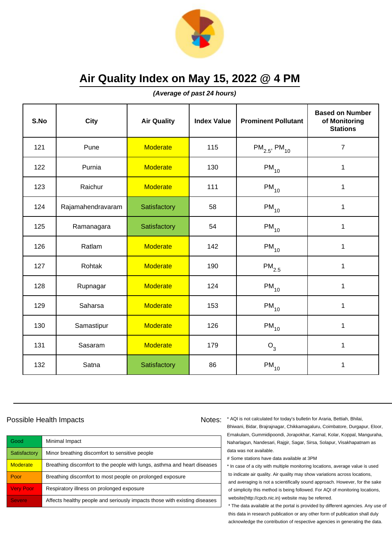

**(Average of past 24 hours)**

| S.No | City              | <b>Air Quality</b> | <b>Index Value</b> | <b>Prominent Pollutant</b>    | <b>Based on Number</b><br>of Monitoring<br><b>Stations</b> |
|------|-------------------|--------------------|--------------------|-------------------------------|------------------------------------------------------------|
| 121  | Pune              | <b>Moderate</b>    | 115                | $PM_{2.5}$ , PM <sub>10</sub> | $\overline{7}$                                             |
| 122  | Purnia            | <b>Moderate</b>    | 130                | $PM_{10}$                     | 1                                                          |
| 123  | Raichur           | <b>Moderate</b>    | 111                | $PM_{10}$                     | 1                                                          |
| 124  | Rajamahendravaram | Satisfactory       | 58                 | $PM_{10}$                     | 1                                                          |
| 125  | Ramanagara        | Satisfactory       | 54                 | $PM_{10}$                     | $\mathbf 1$                                                |
| 126  | Ratlam            | <b>Moderate</b>    | 142                | $PM_{10}$                     | 1                                                          |
| 127  | Rohtak            | <b>Moderate</b>    | 190                | $\mathsf{PM}_{2.5}$           | 1                                                          |
| 128  | Rupnagar          | <b>Moderate</b>    | 124                | $PM_{10}$                     | 1                                                          |
| 129  | Saharsa           | <b>Moderate</b>    | 153                | $PM_{10}$                     | $\mathbf{1}$                                               |
| 130  | Samastipur        | <b>Moderate</b>    | 126                | $PM_{10}$                     | $\mathbf{1}$                                               |
| 131  | Sasaram           | <b>Moderate</b>    | 179                | $O_3$                         | 1                                                          |
| 132  | Satna             | Satisfactory       | 86                 | $PM_{10}$                     | 1                                                          |

### Possible Health Impacts

| Good             | Minimal Impact                                                            |
|------------------|---------------------------------------------------------------------------|
| Satisfactory     | Minor breathing discomfort to sensitive people                            |
| <b>Moderate</b>  | Breathing discomfort to the people with lungs, asthma and heart diseases  |
| Poor             | Breathing discomfort to most people on prolonged exposure                 |
| <b>Very Poor</b> | Respiratory illness on prolonged exposure                                 |
| <b>Severe</b>    | Affects healthy people and seriously impacts those with existing diseases |

Notes: \* AQI is not calculated for today's bulletin for Araria, Bettiah, Bhilai, Bhiwani, Bidar, Brajrajnagar, Chikkamagaluru, Coimbatore, Durgapur, Eloor, Ernakulam, Gummidipoondi, Jorapokhar, Karnal, Kolar, Koppal, Manguraha, Naharlagun, Nandesari, Rajgir, Sagar, Sirsa, Solapur, Visakhapatnam as data was not available.

# Some stations have data available at 3PM

\* In case of a city with multiple monitoring locations, average value is used to indicate air quality. Air quality may show variations across locations, and averaging is not a scientifically sound approach. However, for the sake of simplicity this method is being followed. For AQI of monitoring locations, website(http://cpcb.nic.in) website may be referred.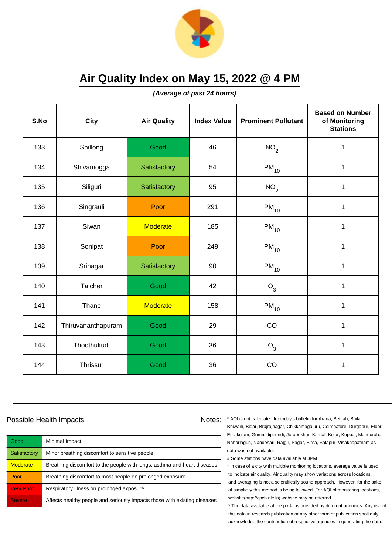

**(Average of past 24 hours)**

| S.No | <b>City</b>        | <b>Air Quality</b> | <b>Index Value</b> | <b>Prominent Pollutant</b> | <b>Based on Number</b><br>of Monitoring<br><b>Stations</b> |
|------|--------------------|--------------------|--------------------|----------------------------|------------------------------------------------------------|
| 133  | Shillong           | Good               | 46                 | NO <sub>2</sub>            | 1                                                          |
| 134  | Shivamogga         | Satisfactory       | 54                 | $PM_{10}$                  | $\mathbf 1$                                                |
| 135  | Siliguri           | Satisfactory       | 95                 | NO <sub>2</sub>            | 1                                                          |
| 136  | Singrauli          | Poor               | 291                | $PM_{10}$                  | 1                                                          |
| 137  | Siwan              | <b>Moderate</b>    | 185                | $PM_{10}$                  | $\mathbf 1$                                                |
| 138  | Sonipat            | Poor               | 249                | $PM_{10}$                  | $\mathbf 1$                                                |
| 139  | Srinagar           | Satisfactory       | 90                 | $\mathsf{PM}_{10}$         | 1                                                          |
| 140  | Talcher            | Good               | 42                 | $O_3$                      | $\mathbf{1}$                                               |
| 141  | Thane              | <b>Moderate</b>    | 158                | $PM_{10}$                  | $\mathbf{1}$                                               |
| 142  | Thiruvananthapuram | Good               | 29                 | CO                         | 1                                                          |
| 143  | Thoothukudi        | Good               | 36                 | $O_3$                      | $\mathbf{1}$                                               |
| 144  | Thrissur           | Good               | 36                 | CO                         | 1                                                          |

### Possible Health Impacts Notes: Notes:

Good Minimal Impact Satisfactory | Minor breathing discomfort to sensitive people Moderate **Breathing discomfort to the people with lungs**, asthma and heart diseases Poor Breathing discomfort to most people on prolonged exposure Very Poor Respiratory illness on prolonged exposure Severe **Affects healthy people and seriously impacts those with existing diseases** 

\* AQI is not calculated for today's bulletin for Araria, Bettiah, Bhilai, Bhiwani, Bidar, Brajrajnagar, Chikkamagaluru, Coimbatore, Durgapur, Eloor, Ernakulam, Gummidipoondi, Jorapokhar, Karnal, Kolar, Koppal, Manguraha, Naharlagun, Nandesari, Rajgir, Sagar, Sirsa, Solapur, Visakhapatnam as data was not available.

# Some stations have data available at 3PM

\* In case of a city with multiple monitoring locations, average value is used to indicate air quality. Air quality may show variations across locations, and averaging is not a scientifically sound approach. However, for the sake of simplicity this method is being followed. For AQI of monitoring locations, website(http://cpcb.nic.in) website may be referred.